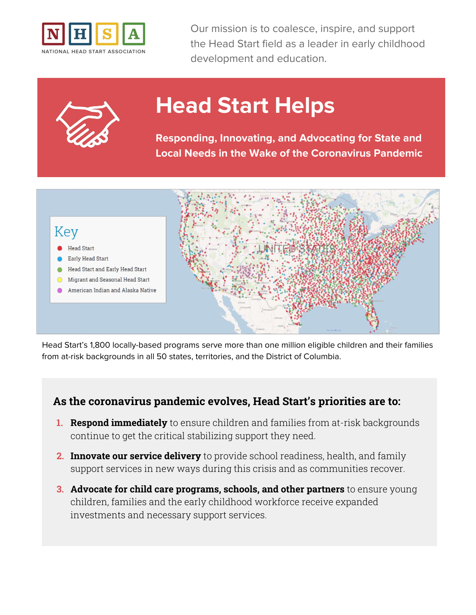



# **Head Start Helps**

**Responding, Innovating, and Advocating for State and Local Needs in the Wake of the Coronavirus Pandemic**



Head Start's 1,800 locally-based programs serve more than one million eligible children and their families from at-risk backgrounds in all 50 states, territories, and the District of Columbia.

### **As the coronavirus pandemic evolves, Head Start's priorities are to:**

- **1. Respond immediately** to ensure children and families from at-risk backgrounds continue to get the critical stabilizing support they need.
- **2. Innovate our service delivery** to provide school readiness, health, and family support services in new ways during this crisis and as communities recover.
- **3. Advocate for child care programs, schools, and other partners** to ensure young children, families and the early childhood workforce receive expanded investments and necessary support services.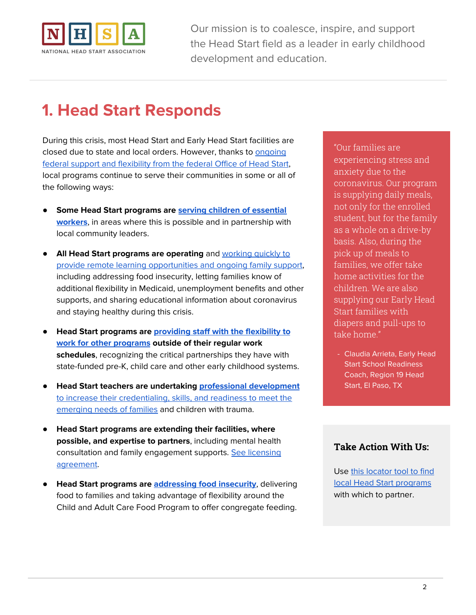

# **1. Head Start Responds**

During this crisis, most Head Start and Early Head Start facilities are closed due to state and local orders. However, thanks to [ongoing](https://eclkc.ohs.acf.hhs.gov/physical-health/article/coronavirus-prevention-response) federal support and [flexibility](https://eclkc.ohs.acf.hhs.gov/physical-health/article/coronavirus-prevention-response) from the federal Office of Head Start, local programs continue to serve their communities in some or all of the following ways:

- **Some Head Start programs are serving children of [essential](https://www.kitsapsun.com/story/news/local/2020/03/18/childcare-kitsap-prioritized-emergency-and-essential-personnel/2865857001/) [workers](https://www.kitsapsun.com/story/news/local/2020/03/18/childcare-kitsap-prioritized-emergency-and-essential-personnel/2865857001/)**, in areas where this is possible and in partnership with local community leaders.
- **All Head Start programs are operating** and [working](https://medium.com/@NatlHeadStart/when-covid-19-shuts-everything-down-head-start-steps-up-9c8007fca792) quickly to provide remote learning [opportunities](https://medium.com/@NatlHeadStart/when-covid-19-shuts-everything-down-head-start-steps-up-9c8007fca792) and ongoing family support, including addressing food insecurity, letting families know of additional flexibility in Medicaid, unemployment benefits and other supports, and sharing educational information about coronavirus and staying healthy during this crisis.
- **Head Start programs are [providing](http://hsicc.cmail19.com/t/ViewEmail/j/8DB01A093B1228832540EF23F30FEDED/CF7A06A9A53541ECD9767B6002735221) staff with the flexibility to work for other [programs](http://hsicc.cmail19.com/t/ViewEmail/j/8DB01A093B1228832540EF23F30FEDED/CF7A06A9A53541ECD9767B6002735221) outside of their regular work schedules**, recognizing the critical partnerships they have with state-funded pre-K, child care and other early childhood systems.
- **Head Start teachers are undertaking professional [development](https://www.region9hsa.org/covid-19/)** to increase their [credentialing,](https://www.region9hsa.org/covid-19/) skills, and readiness to meet the [emerging](https://www.region9hsa.org/covid-19/) needs of families and children with trauma.
- **Head Start programs are extending their facilities, where possible, and expertise to partners**, including mental health consultation and family engagement supports. See [licensing](https://www.nhsa.org/files/template_-_license_agreement_for_emergency_providers.pdf) [agreement](https://www.nhsa.org/files/template_-_license_agreement_for_emergency_providers.pdf).
- **Head Start programs are [addressing](https://medium.com/@NatlHeadStart/head-start-teachers-reach-out-while-social-distancing-49fcaa8921fa) food insecurity**, delivering food to families and taking advantage of flexibility around the Child and Adult Care Food Program to offer congregate feeding.

"Our families are experiencing stress and anxiety due to the coronavirus. Our program is supplying daily meals, not only for the enrolled student, but for the family as a whole on a drive-by basis. Also, during the pick up of meals to families, we offer take home activities for the children. We are also supplying our Early Head Start families with diapers and pull-ups to take home."

- Claudia Arrieta, Early Head Start School Readiness Coach, Region 19 Head Start, El Paso, TX

### **Take Action With Us:**

Use this [locator](https://eclkc.ohs.acf.hhs.gov/center-locator) tool to find local Head Start [programs](https://eclkc.ohs.acf.hhs.gov/center-locator) with which to partner.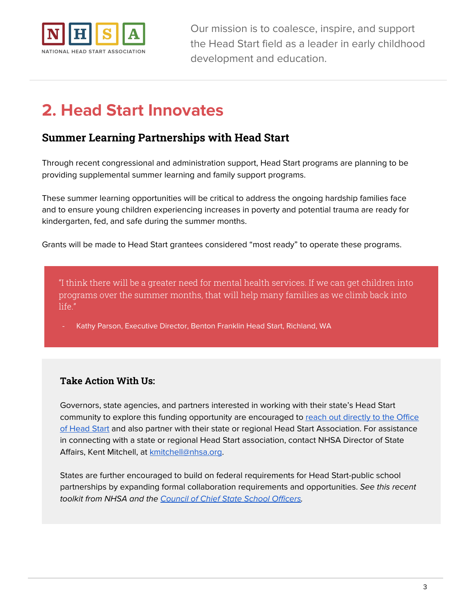

# **2. Head Start Innovates**

### **Summer Learning Partnerships with Head Start**

Through recent congressional and administration support, Head Start programs are planning to be providing supplemental summer learning and family support programs.

These summer learning opportunities will be critical to address the ongoing hardship families face and to ensure young children experiencing increases in poverty and potential trauma are ready for kindergarten, fed, and safe during the summer months.

Grants will be made to Head Start grantees considered "most ready" to operate these programs.

"I think there will be a greater need for mental health services. If we can get children into programs over the summer months, that will help many families as we climb back into life."

Kathy Parson, Executive Director, Benton Franklin Head Start, Richland, WA

#### **Take Action With Us:**

Governors, state agencies, and partners interested in working with their state's Head Start community to explore this funding opportunity are encouraged to reach out [directly](https://www.acf.hhs.gov/ohs) to the Office of [Head](https://www.acf.hhs.gov/ohs) Start and also partner with their state or regional Head Start Association. For assistance in connecting with a state or regional Head Start association, contact NHSA Director of State Affairs, Kent Mitchell, at **kmitchell@nhsa.org**.

States are further encouraged to build on federal requirements for Head Start-public school partnerships by expanding formal collaboration requirements and opportunities. See this recent toolkit from NHSA and the Council of Chief State School [Officers.](https://www.nhsa.org/our-work/initiative/essa-toolkit)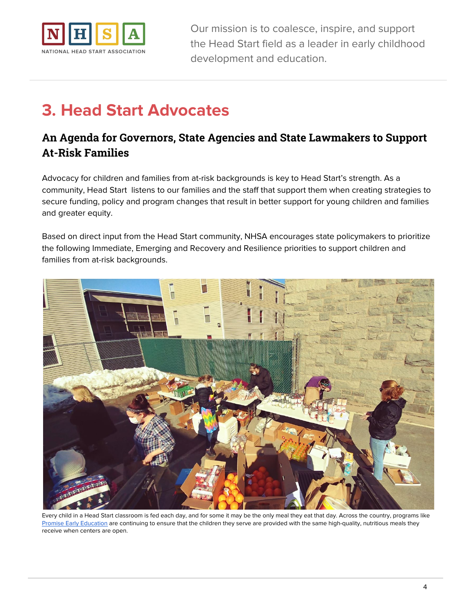

# **3. Head Start Advocates**

# **An Agenda for Governors, State Agencies and State Lawmakers to Support At-Risk Families**

Advocacy for children and families from at-risk backgrounds is key to Head Start's strength. As a community, Head Start listens to our families and the staff that support them when creating strategies to secure funding, policy and program changes that result in better support for young children and families and greater equity.

Based on direct input from the Head Start community, NHSA encourages state policymakers to prioritize the following Immediate, Emerging and Recovery and Resilience priorities to support children and families from at-risk backgrounds.



Every child in a Head Start classroom is fed each day, and for some it may be the only meal they eat that day. Across the country, programs like Promise Early [Education](https://twitter.com/PromiseEEC/status/1243223181655183360) are continuing to ensure that the children they serve are provided with the same high-quality, nutritious meals they receive when centers are open.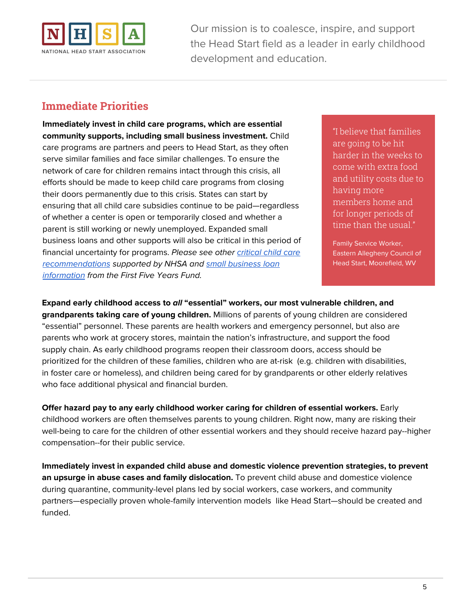

## **Immediate Priorities**

**Immediately invest in child care programs, which are essential community supports, including small business investment.** Child care programs are partners and peers to Head Start, as they often serve similar families and face similar challenges. To ensure the network of care for children remains intact through this crisis, all efforts should be made to keep child care programs from closing their doors permanently due to this crisis. States can start by ensuring that all child care subsidies continue to be paid—regardless of whether a center is open or temporarily closed and whether a parent is still working or newly unemployed. Expanded small business loans and other supports will also be critical in this period of financial uncertainty for programs. Please see other [critical](https://www.ffyf.org/urgent-request-to-congress-for-child-care-sector-in-covid-19-economic-stimulus-package/) child care [recommendations](https://www.ffyf.org/urgent-request-to-congress-for-child-care-sector-in-covid-19-economic-stimulus-package/) supported by NHSA and small [business](https://www.ffyf.org/small-business-administration-sba-loans-immediately-available-to-child-care-providers/) loan [information](https://www.ffyf.org/small-business-administration-sba-loans-immediately-available-to-child-care-providers/) from the First Five Years Fund.

"I believe that families are going to be hit harder in the weeks to come with extra food and utility costs due to having more members home and for longer periods of time than the usual."

Family Service Worker, Eastern Allegheny Council of Head Start, Moorefield, WV

**Expand early childhood access to all "essential" workers, our most vulnerable children, and grandparents taking care of young children.** Millions of parents of young children are considered "essential" personnel. These parents are health workers and emergency personnel, but also are parents who work at grocery stores, maintain the nation's infrastructure, and support the food supply chain. As early childhood programs reopen their classroom doors, access should be prioritized for the children of these families, children who are at-risk (e.g. children with disabilities, in foster care or homeless), and children being cared for by grandparents or other elderly relatives who face additional physical and financial burden.

**Offer hazard pay to any early childhood worker caring for children of essential workers.** Early childhood workers are often themselves parents to young children. Right now, many are risking their well-being to care for the children of other essential workers and they should receive hazard pay--higher compensation--for their public service.

**Immediately invest in expanded child abuse and domestic violence prevention strategies, to prevent an upsurge in abuse cases and family dislocation.** To prevent child abuse and domestice violence during quarantine, community-level plans led by social workers, case workers, and community partners—especially proven whole-family intervention models like Head Start—should be created and funded.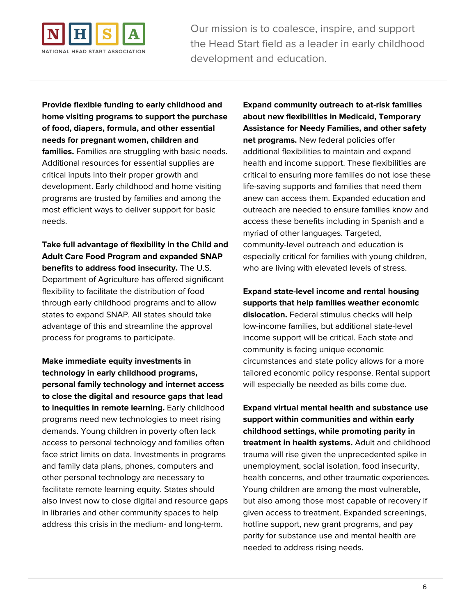

**Provide flexible funding to early childhood and home visiting programs to support the purchase of food, diapers, formula, and other essential needs for pregnant women, children and families.** Families are struggling with basic needs. Additional resources for essential supplies are critical inputs into their proper growth and development. Early childhood and home visiting programs are trusted by families and among the most efficient ways to deliver support for basic needs.

**Take full advantage of flexibility in the Child and Adult Care Food Program and expanded SNAP benefits to address food insecurity.** The U.S. Department of Agriculture has offered significant flexibility to facilitate the distribution of food through early childhood programs and to allow states to expand SNAP. All states should take advantage of this and streamline the approval process for programs to participate.

**Make immediate equity investments in technology in early childhood programs, personal family technology and internet access to close the digital and resource gaps that lead to inequities in remote learning.** Early childhood programs need new technologies to meet rising demands. Young children in poverty often lack access to personal technology and families often face strict limits on data. Investments in programs and family data plans, phones, computers and other personal technology are necessary to facilitate remote learning equity. States should also invest now to close digital and resource gaps in libraries and other community spaces to help address this crisis in the medium- and long-term.

**Expand community outreach to at-risk families about new flexibilities in Medicaid, Temporary Assistance for Needy Families, and other safety net programs.** New federal policies offer additional flexibilities to maintain and expand health and income support. These flexibilities are critical to ensuring more families do not lose these life-saving supports and families that need them anew can access them. Expanded education and outreach are needed to ensure families know and access these benefits including in Spanish and a myriad of other languages. Targeted, community-level outreach and education is especially critical for families with young children, who are living with elevated levels of stress.

**Expand state-level income and rental housing supports that help families weather economic dislocation.** Federal stimulus checks will help low-income families, but additional state-level income support will be critical. Each state and community is facing unique economic circumstances and state policy allows for a more tailored economic policy response. Rental support will especially be needed as bills come due.

**Expand virtual mental health and substance use support within communities and within early childhood settings, while promoting parity in treatment in health systems.** Adult and childhood trauma will rise given the unprecedented spike in unemployment, social isolation, food insecurity, health concerns, and other traumatic experiences. Young children are among the most vulnerable, but also among those most capable of recovery if given access to treatment. Expanded screenings, hotline support, new grant programs, and pay parity for substance use and mental health are needed to address rising needs.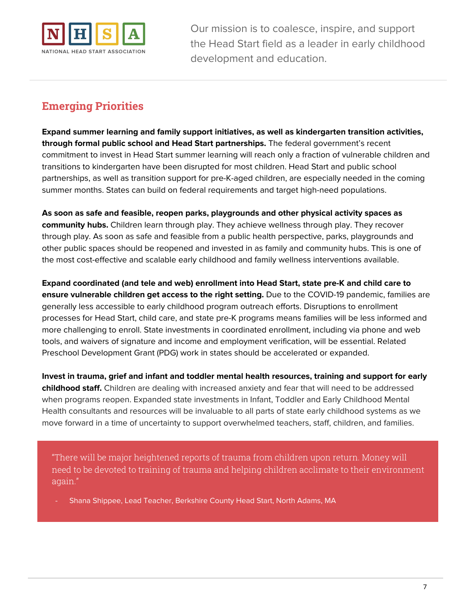

# **Emerging Priorities**

**Expand summer learning and family support initiatives, as well as kindergarten transition activities, through formal public school and Head Start partnerships.** The federal government's recent commitment to invest in Head Start summer learning will reach only a fraction of vulnerable children and transitions to kindergarten have been disrupted for most children. Head Start and public school partnerships, as well as transition support for pre-K-aged children, are especially needed in the coming summer months. States can build on federal requirements and target high-need populations.

**As soon as safe and feasible, reopen parks, playgrounds and other physical activity spaces as community hubs.** Children learn through play. They achieve wellness through play. They recover through play. As soon as safe and feasible from a public health perspective, parks, playgrounds and other public spaces should be reopened and invested in as family and community hubs. This is one of the most cost-effective and scalable early childhood and family wellness interventions available.

**Expand coordinated (and tele and web) enrollment into Head Start, state pre-K and child care to ensure vulnerable children get access to the right setting.** Due to the COVID-19 pandemic, families are generally less accessible to early childhood program outreach efforts. Disruptions to enrollment processes for Head Start, child care, and state pre-K programs means families will be less informed and more challenging to enroll. State investments in coordinated enrollment, including via phone and web tools, and waivers of signature and income and employment verification, will be essential. Related Preschool Development Grant (PDG) work in states should be accelerated or expanded.

**Invest in trauma, grief and infant and toddler mental health resources, training and support for early childhood staff.** Children are dealing with increased anxiety and fear that will need to be addressed when programs reopen. Expanded state investments in Infant, Toddler and Early Childhood Mental Health consultants and resources will be invaluable to all parts of state early childhood systems as we move forward in a time of uncertainty to support overwhelmed teachers, staff, children, and families.

"There will be major heightened reports of trauma from children upon return. Money will need to be devoted to training of trauma and helping children acclimate to their environment again."

Shana Shippee, Lead Teacher, Berkshire County Head Start, North Adams, MA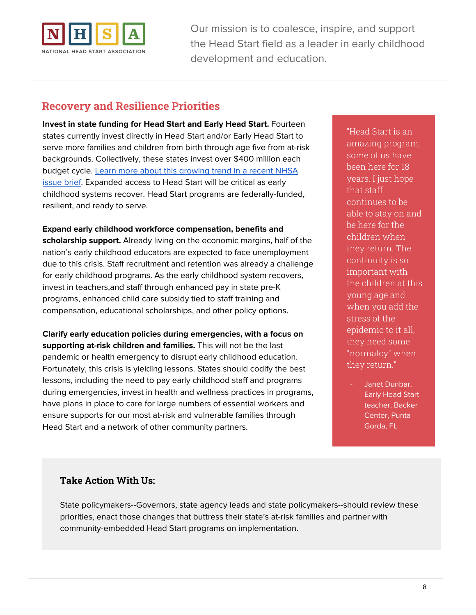

### **Recovery and Resilience Priorities**

**Invest in state funding for Head Start and Early Head Start.** Fourteen states currently invest directly in Head Start and/or Early Head Start to serve more families and children from birth through age five from at-risk backgrounds. Collectively, these states invest over \$400 million each budget cycle. Learn more about this [growing](https://www.nhsa.org/files/state_investments_in_head_start.pdf) trend in a recent NHSA **[issue](https://www.nhsa.org/files/state_investments_in_head_start.pdf) brief.** Expanded access to Head Start will be critical as early childhood systems recover. Head Start programs are federally-funded, resilient, and ready to serve.

#### **Expand early childhood workforce compensation, benefits and**

**scholarship support.** Already living on the economic margins, half of the nation's early childhood educators are expected to face unemployment due to this crisis. Staff recruitment and retention was already a challenge for early childhood programs. As the early childhood system recovers, invest in teachers,and staff through enhanced pay in state pre-K programs, enhanced child care subsidy tied to staff training and compensation, educational scholarships, and other policy options.

**Clarify early education policies during emergencies, with a focus on supporting at-risk children and families.** This will not be the last pandemic or health emergency to disrupt early childhood education. Fortunately, this crisis is yielding lessons. States should codify the best lessons, including the need to pay early childhood staff and programs during emergencies, invest in health and wellness practices in programs, have plans in place to care for large numbers of essential workers and ensure supports for our most at-risk and vulnerable families through Head Start and a network of other community partners.

"Head Start is an amazing program; some of us have been here for 18 years. I just hope that staff continues to be able to stay on and be here for the children when they return. The continuity is so important with the children at this young age and when you add the stress of the epidemic to it all, they need some "normalcy" when they return."

Janet Dunbar, Early Head Start teacher, Backer Center, Punta Gorda, FL

#### **Take Action With Us:**

State policymakers--Governors, state agency leads and state policymakers--should review these priorities, enact those changes that buttress their state's at-risk families and partner with community-embedded Head Start programs on implementation.